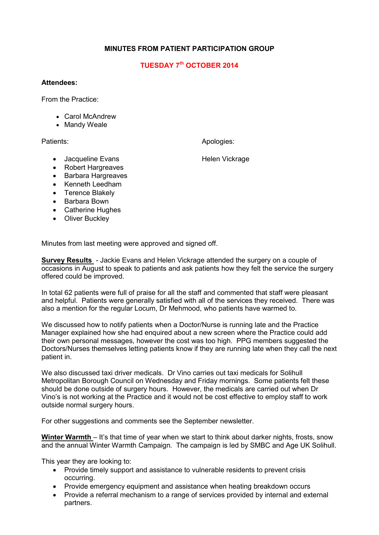## **MINUTES FROM PATIENT PARTICIPATION GROUP**

## **TUESDAY 7th OCTOBER 2014**

## **Attendees:**

From the Practice:

- Carol McAndrew
- Mandy Weale

Patients: Apologies: Apologies: Apologies: Apologies: Apologies: Apologies: Apologies: Apologies: Apologies: Apologies: Apologies: Apologies: Apologies: Apologies: Apologies: Apologies: Apologies: Apologies: Apologies: Apo

• Jacqueline Evans **Helen Vickrage** 

- Robert Hargreaves
- Barbara Hargreaves
- Kenneth Leedham
- Terence Blakely
- Barbara Bown
- Catherine Hughes
- Oliver Buckley

Minutes from last meeting were approved and signed off.

**Survey Results** - Jackie Evans and Helen Vickrage attended the surgery on a couple of occasions in August to speak to patients and ask patients how they felt the service the surgery offered could be improved.

In total 62 patients were full of praise for all the staff and commented that staff were pleasant and helpful. Patients were generally satisfied with all of the services they received. There was also a mention for the regular Locum, Dr Mehmood, who patients have warmed to.

We discussed how to notify patients when a Doctor/Nurse is running late and the Practice Manager explained how she had enquired about a new screen where the Practice could add their own personal messages, however the cost was too high. PPG members suggested the Doctors/Nurses themselves letting patients know if they are running late when they call the next patient in.

We also discussed taxi driver medicals. Dr Vino carries out taxi medicals for Solihull Metropolitan Borough Council on Wednesday and Friday mornings. Some patients felt these should be done outside of surgery hours. However, the medicals are carried out when Dr Vino's is not working at the Practice and it would not be cost effective to employ staff to work outside normal surgery hours.

For other suggestions and comments see the September newsletter.

**Winter Warmth** – It's that time of year when we start to think about darker nights, frosts, snow and the annual Winter Warmth Campaign. The campaign is led by SMBC and Age UK Solihull.

This year they are looking to:

- Provide timely support and assistance to vulnerable residents to prevent crisis occurring.
- Provide emergency equipment and assistance when heating breakdown occurs
- Provide a referral mechanism to a range of services provided by internal and external partners.